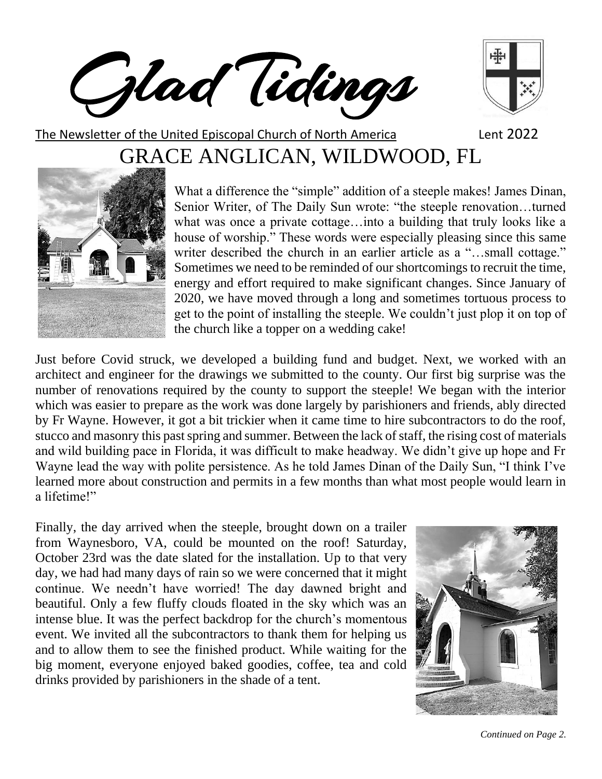Glad Tidings



The Newsletter of the United Episcopal Church of North America Lent 2022 GRACE ANGLICAN, WILDWOOD, FL



What a difference the "simple" addition of a steeple makes! James Dinan, Senior Writer, of The Daily Sun wrote: "the steeple renovation…turned what was once a private cottage…into a building that truly looks like a house of worship." These words were especially pleasing since this same writer described the church in an earlier article as a "...small cottage." Sometimes we need to be reminded of our shortcomings to recruit the time, energy and effort required to make significant changes. Since January of 2020, we have moved through a long and sometimes tortuous process to get to the point of installing the steeple. We couldn't just plop it on top of the church like a topper on a wedding cake!

Just before Covid struck, we developed a building fund and budget. Next, we worked with an architect and engineer for the drawings we submitted to the county. Our first big surprise was the number of renovations required by the county to support the steeple! We began with the interior which was easier to prepare as the work was done largely by parishioners and friends, ably directed by Fr Wayne. However, it got a bit trickier when it came time to hire subcontractors to do the roof, stucco and masonry this past spring and summer. Between the lack of staff, the rising cost of materials and wild building pace in Florida, it was difficult to make headway. We didn't give up hope and Fr Wayne lead the way with polite persistence. As he told James Dinan of the Daily Sun, "I think I've learned more about construction and permits in a few months than what most people would learn in a lifetime!"

Finally, the day arrived when the steeple, brought down on a trailer from Waynesboro, VA, could be mounted on the roof! Saturday, October 23rd was the date slated for the installation. Up to that very day, we had had many days of rain so we were concerned that it might continue. We needn't have worried! The day dawned bright and beautiful. Only a few fluffy clouds floated in the sky which was an intense blue. It was the perfect backdrop for the church's momentous event. We invited all the subcontractors to thank them for helping us and to allow them to see the finished product. While waiting for the big moment, everyone enjoyed baked goodies, coffee, tea and cold drinks provided by parishioners in the shade of a tent.